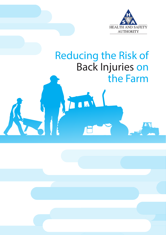

# Reducing the Risk of Back Injuries on the Farm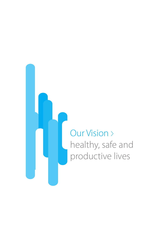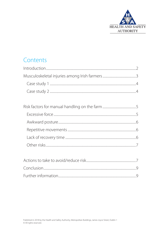

# Contents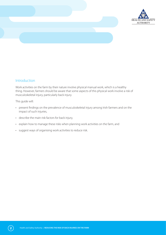



# Introduction

Work activities on the farm by their nature involve physical manual work, which is a healthy thing. However, farmers should be aware that some aspects of this physical work involve a risk of musculoskeletal injury, particularly back injury.

This guide will:

- present findings on the prevalence of musculoskeletal injury among Irish farmers and on the impact of such injuries,
- describe the main risk factors for back injury,
- explain how to manage these risks when planning work activities on the farm, and
- suggest ways of organising work activities to reduce risk.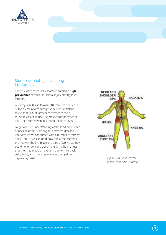

### Musculoskeletal injuries among Irish farmers

Recent evidence-based research identified a **high prevalence** of musculoskeletal injury among Irish farmers.

A survey of 600 Irish farmers (100 farmers from each of the six main farm enterprise systems in Ireland) found that 56% of farmers had experienced a musculoskeletal injury. The most common types of injury or disorder were related to the back (37%).

To get a better understanding of the lived experience of back pain/injury among Irish farmers, detailed interviews were conducted with a number of farmers. These interviews explored how the farmer suffered the injury in the first place, the type of work that they could no longer carry out on the farm, the changes that they had made on the farm due to their back pain/injury, and how they manage their pain on a day-to-day basis.



*Figure 1: Musculoskeletal injuries among Irish farmers*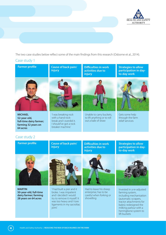

The two case studies below reflect some of the main findings from this research (Osborne et al., 2014).

# Case study 1



# Case study 2

**Farmer profile**



**MARTIN 50-year-old, full-time dairy farmer; farming 28 years on 64 acres**

**Cause of back pain/ injury**



'I had built a pier and it broke. I was impatient and I decided I would try to remove it myself. It was too heavy and I tore ligaments in my sacroiliac joint.'

**activities due to injury**

Had to leave his sheep enterprise; has to be careful when forking or

shovelling

**Difficulties in work** 





Invested in a re-adjusted farming system, including mechanisation (automatic scrapers, tractor attachments for bales); redesigned the milking parlour with a herringbone system to lift buckets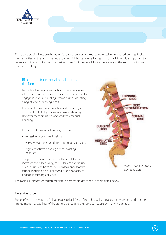

These case studies illustrate the potential consequences of a musculoskeletal injury caused during physical work activities on the farm. The two activities highlighted carried a clear risk of back injury. It is important to be aware of the risks of injury. The next section of this guide will look more closely at the key risk factors for manual handling.

## Risk factors for manual handling on the farm

Farms tend to be a hive of activity. There are always jobs to be done and some tasks require the farmer to engage in manual handling. Examples include lifting a bag of feed or carrying a calf.

It is good for people to be active and dynamic, and a certain level of physical manual work is healthy. However there are risks associated with manual handling.

Risk factors for manual handling include:

- excessive force or load weight,
- very awkward posture during lifting activities, and
- highly repetitive bending and/or twisting postures.

The presence of one or more of these risk factors increases the risk of injury, particularly of back injury. Such injuries can have serious consequences for the farmer, reducing his or her mobility and capacity to engage in farming activities.

The main risk factors for musculoskeletal disorders are described in more detail below.

#### Excessive force

Force refers to the weight of a load that is to be lifted. Lifting a heavy load places excessive demands on the limited motion capabilities of the spine. Overloading the spine can cause permanent damage.

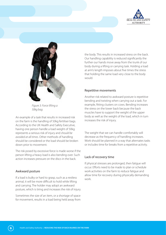



*Figure 3: Force lifting a 50kg bag*

An example of a task that results in increased risk on the farm is the handling of 50kg fertiliser bags. According to the UK Health and Safety Executive, having one person handle a load weight of 50kg represents a serious risk of injury and *should be avoided at all times*. Other methods of handling should be considered or the load should be broken down prior to movement.

The risk posed by excessive force is made worse if the person lifting a heavy load is also bending over. Such action increases pressure on the discs in the back.

#### Awkward posture

If a load is bulky or hard to grasp, such as a restless animal, it will be more difficult to hold while lifting and carrying. The holder may adopt an awkward posture, which is tiring and increases the risk of injury.

Sometimes the size of an item, or a shortage of space for movement, results in a load being held away from

the body. This results in increased stress on the back. Our handling capability is reduced significantly the further our hands move away from the trunk of our body during a lifting or carrying task. Holding a load at arm's length imposes about five times the stress that holding the same load very close to the body would.

#### Repetitive movements

Another risk related to awkward posture is repetitive bending and twisting when carrying out a task. For example, fitting clusters on cows. Bending increases the stress on the lower back because the back muscles have to support the weight of the upper body as well as the weight of the load, which in turn increases the risk of injury.

The weight that we can handle comfortably will decrease as the frequency of handling increases. Work should be planned in a way that alternates tasks or includes time for breaks from a repetitive activity.

#### Lack of recovery time

If physical stresses are prolonged, then fatigue will occur. Efforts need to be made to plan or schedule work activities on the farm to reduce fatigue and allow time for recovery during physically demanding work.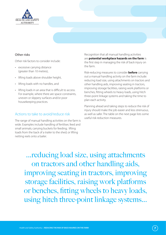

#### Other risks

Other risk factors to consider include:

- excessive carrying distance (greater than 10 metres),
- lifting loads above shoulder height,
- lifting loads with no handles, and
- lifting loads in an area that is difficult to access. For example, where there are space constraints, uneven or slippery surfaces and/or poor housekeeping practices.

#### Actions to take to avoid/reduce risk

The range of manual handling activities on the farm is wide. Examples include handling of fertiliser, feed and small animals; carrying buckets for feeding; lifting loads from the back of a trailer to the shed; or lifting netting reels onto a bailer.

Recognition that all manual handling activities are **potential workplace hazards on the farm** is the first step in managing the risk of back injury on the farm.

Risk-reducing measures to consider **before** carrying out a manual handling activity on the farm include: reducing load size, using attachments on tractors and other handling aids, improving seating in tractors, improving storage facilities, raising work platforms or benches, fitting wheels to heavy loads, using hitch three-point linkage systems and taking the time to plan each activity.

Planning ahead and taking steps to reduce the risk of injury should make the job easier and less strenuous, as well as safer. The table on the next page lists some useful risk reduction measures.

...reducing load size, using attachments on tractors and other handling aids, improving seating in tractors, improving storage facilities, raising work platforms or benches, fitting wheels to heavy loads, using hitch three-point linkage systems...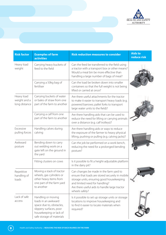

| <b>Risk factor</b>                          | <b>Examples of farm</b><br><b>activities</b>                                                                                                             | <b>Risk reduction measures to consider</b>                                                                                                                                                                                                   | <b>Aids to</b><br>reduce risk |
|---------------------------------------------|----------------------------------------------------------------------------------------------------------------------------------------------------------|----------------------------------------------------------------------------------------------------------------------------------------------------------------------------------------------------------------------------------------------|-------------------------------|
| Heavy load<br>weight                        | Carrying heavy buckets of<br>feed to the field                                                                                                           | Can the feed be transferred to the field using<br>a tractor with a transport box or other means?<br>Would a meal bin be more effective than<br>handling a large number of bags of meal?                                                      |                               |
|                                             | Carrying a 50kg bag of<br>fertiliser                                                                                                                     | Can the load be broken down into smaller<br>containers so that the full weight is not being<br>lifted or carried at once?                                                                                                                    |                               |
| Heavy load<br>weight and a<br>long distance | Carrying buckets of water<br>or bales of straw from one<br>part of the farm to another                                                                   | Are there useful attachments for the tractor<br>to make it easier to transport heavy loads (e.g.<br>powered barrows; pallet forks to transport<br>large water units to the field)?                                                           |                               |
|                                             | Carrying a calf from one<br>part of the farm to another                                                                                                  | Are there handling aids that can be used to<br>reduce the need for lifting or carrying animals<br>over a distance (e.g. calf trolleys)?                                                                                                      |                               |
| Excessive<br>pulling forces                 | Handling calves during<br>calving                                                                                                                        | Are there handling aids or ways to reduce<br>the exposure of the farmer to heavy physical<br>lifting, pushing or pulling (e.g. calving jacks)?                                                                                               |                               |
| Awkward<br>posture                          | Bending down to carry<br>out welding work on a<br>gate left on the ground in<br>the yard                                                                 | Can the job be performed on a work bench,<br>reducing the need for a prolonged bending<br>posture?                                                                                                                                           |                               |
|                                             | Fitting clusters on cows                                                                                                                                 | Is it possible to fit a height-adjustable platform<br>in the dairy pit?                                                                                                                                                                      |                               |
| Repetitive<br>handling of<br>loads          | Moving a stack of tractor<br>wheels, gas cylinders or<br>other heavy items from<br>one part of the farm yard<br>to another                               | Can changes be made in the farm yard to<br>ensure that loads are stored securely in mobile<br>storage units, ensuring good housekeeping<br>and limited need for handling?<br>Are there useful aids to handle large tractor<br>wheels safely? |                               |
| Lack of safe<br>access                      | Handling or moving<br>loads in an awkward<br>space due to, obstacles,<br>slippery surfaces, poor<br>housekeeping or lack of<br>safe storage of materials | Is it possible to set up storage units or storage<br>locations to improve housekeeping and<br>to find it easier to locate materials when<br>required?                                                                                        |                               |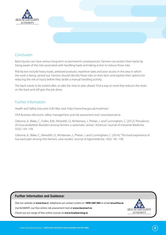

# Conclusion

Back injuries can have serious long-term or permanent consequences. Farmers can protect their backs by being aware of the risks associated with handling loads and taking action to reduce those risks.

Risk factors include heavy loads, awkward postures, repetitive tasks and poor access in the area in which the work is being carried out. Farmers should identify these risks on their farm and explore their options for reducing the risk of injury before they tackle a manual handling activity.

The back needs to be looked after, so take the time to plan ahead. Find a way to work that reduces the strain on the back and still gets the job done.

#### Further information

Health and Safety Executive (UK) Mac tool: http://www.hse.gov.uk/msd/mac/

HSA Business electronic safety management and risk assessment tool: www.besmart.ie

Osborne, A., Blake, C., Fullen, B.M., Meredith, D., McNamara, J., Phelan, J. and Cunningham, C. (2012), 'Prevalence of musculoskeletal disorders among farmers: a systematic review'. American Journal of Industrial Medicine, 55(2): 143–158.

Osborne, A., Blake, C., Meredith, D., McNamara, J., Phelan, J. and Cunningham, C. (2014), 'The lived experience of low back pain among Irish farmers: case studies'. Journal of Agromedicine, 19(2): 181–190.

#### **Further Information and Guidance:**

Visit our website at **www.hsa.i**e, telephone our contact centre on **1890 289 389** or email **wcu@hsa.ie**

Use BeSMART, our free online risk assessment tool at **www.besmart.ie**

Check out our range of free online courses at **www.hsalearning.ie**